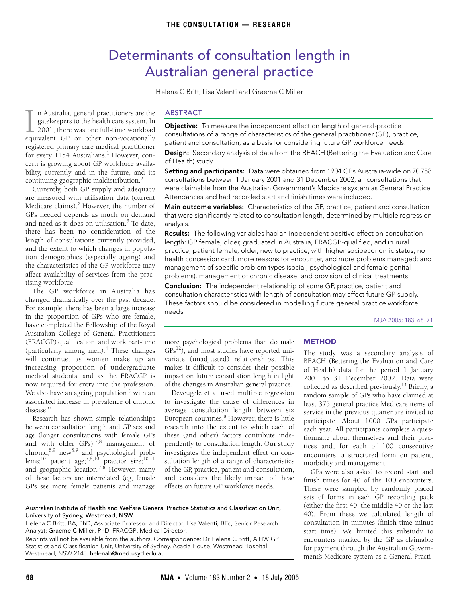# Determinants of consultation length in Australian general practice

Helena C Britt, Lisa Valenti and Graeme C Miller

<span id="page-0-0"></span>bility, currently and in the future, and its continuing geographic maldistribut[ion](#page-0-0).<sup>[2](#page-3-1)</sup> n Australia, general practitioners are the gatekeepers to the health care system. In 1 2001, there was one full-time workload The Australia, general practitioners are the gatekeepers to the health care system. In 2001, there was one full-time workload equivalent GP or other non-vocationally registered primary care medical practitioner for every [1](#page-3-0)154 Australians.<sup>1</sup> However, concern is growing about GP workforce availa-

Currently, both GP supply and adequacy are measured with utilisation data (current Medicare claims).<sup>2</sup> However, the number of GPs needed depends as much on demand and need as it does on utilisation.<sup>[3](#page-3-2)</sup> To date, there has been no consideration of the length of consultations currently provided, and the extent to which changes in population demographics (especially ageing) and the characteristics of the GP workforce may affect availability of services from the practising workforce.

The GP workforce in Australia has changed dramatically over the past decade. For example, there has been a large increase in the proportion of GPs who are female, have completed the Fellowship of the Royal Australian College of General Practitioners (FRACGP) qualification, and work part-time (particularly among men).<sup>[4](#page-3-3)</sup> These changes will continue, as women make up an increasing proportion of undergraduate medical students, and as the FRACGP is now required for entry into the profession. We also have an ageing population,<sup>[5](#page-3-4)</sup> with an associated increase in prevalence of chronic disease.<sup>6</sup>

Research has shown simple relationships between consultation length and GP sex and age (longer consultations with female GPs and with older GPs);<sup>[7](#page-3-6)[,8](#page-3-7)</sup> management of chronic,<sup>8[,9](#page-3-8)</sup> new<sup>8,[9](#page-3-8)</sup> and psychological prob-lems;<sup>[10](#page-3-9)</sup> patient age;<sup>7[,8,](#page-3-7)10</sup> practice size;<sup>10,[11](#page-3-10)</sup> and geographic location.<sup>[7,](#page-3-6)8</sup> However, many of these factors are interrelated (eg, female GPs see more female patients and manage

## ABSTRACT

**Objective:** To measure the independent effect on length of general-practice consultations of a range of characteristics of the general practitioner (GP), practice, patient and consultation, as a basis for considering future GP workforce needs. **Design:** Secondary analysis of data from the BEACH (Bettering the Evaluation and Care

of Health) study.

**Setting and participants:** Data were obtained from 1904 GPs Australia-wide on 70 758 consultations between 1 January 2001 and 31 December 2002; all consultations that were claimable from the Australian Government's Medicare system as General Practice Attendances and had recorded start and finish times were included.

**Main outcome variables:** Characteristics of the GP, practice, patient and consultation that were significantly related to consultation length, determined by multiple regression analysis.

**Results:** The following variables had an independent positive effect on consultation length: GP female, older, graduated in Australia, FRACGP-qualified, and in rural practice; patient female, older, new to practice, with higher socioeconomic status, no health concession card, more reasons for encounter, and more problems managed; and management of specific problem types (social, psychological and female genital problems), management of chronic disease, and provision of clinical treatments.

**Conclusion:** The independent relationship of some GP, practice, patient and consultation characteristics with length of consultation may affect future GP supply. These factors should be considered in modelling future general practice workforce needs.

MJA 2005; 183: 68–71

more psychological problems than do male  $GPs<sup>12</sup>$  $GPs<sup>12</sup>$  $GPs<sup>12</sup>$ , and most studies have reported univariate (unadjusted) relationships. This makes it difficult to consider their possible impact on future consultation length in light of the changes in Australian general practice.

Deveugele et al used multiple regression to investigate the cause of differences in average consultation length between six European countries.<sup>8</sup> However, there is little research into the extent to which each of these (and other) factors contribute independently to consultation length. Our study investigates the independent effect on consultation length of a range of characteristics of the GP, practice, patient and consultation, and considers the likely impact of these effects on future GP workforce needs.

Australian Institute of Health and Welfare General Practice Statistics and Classification Unit, University of Sydney, Westmead, NSW.

Helena C Britt, BA, PhD, Associate Professor and Director; Lisa Valenti, BEc, Senior Research Analyst; Graeme C Miller, PhD, FRACGP, Medical Director.

Reprints will not be available from the authors. Correspondence: Dr Helena C Britt, AIHW GP Statistics and Classification Unit, University of Sydney, Acacia House, Westmead Hospital, Westmead, NSW 2145. helenab@med.usyd.edu.au

#### **METHOD**

The study was a secondary analysis of BEACH (Bettering the Evaluation and Care of Health) data for the period 1 January 2001 to 31 December 2002. Data were collected as described previously.[13](#page-3-12) Briefly, a random sample of GPs who have claimed at least 375 general practice Medicare items of service in the previous quarter are invited to participate. About 1000 GPs participate each year. All participants complete a questionnaire about themselves and their practices and, for each of 100 consecutive encounters, a structured form on patient, morbidity and management.

GPs were also asked to record start and finish times for 40 of the 100 encounters. These were sampled by randomly placed sets of forms in each GP recording pack (either the first 40, the middle 40 or the last 40). From these we calculated length of consultation in minutes (finish time minus start time). We limited this substudy to encounters marked by the GP as claimable for payment through the Australian Government's Medicare system as a General Practi-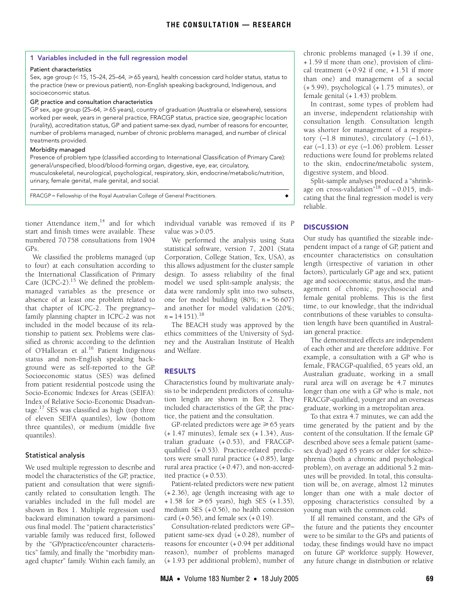#### <span id="page-1-0"></span>**1 Variables included in the full regression model**

#### Patient characteristics

Sex, age group (< 15, 15–24, 25–64,  $\geq$  65 years), health concession card holder status, status to the practice (new or previous patient), non-English speaking background, Indigenous, and socioeconomic status.

# GP, practice and consultation characteristics

GP sex, age group (25–64,  $\geq$  65 years), country of graduation (Australia or elsewhere), sessions worked per week, years in general practice, FRACGP status, practice size, geographic location (rurality), accreditation status, GP and patient same-sex dyad, number of reasons for encounter, number of problems managed, number of chronic problems managed, and number of clinical treatments provided.

## Morbidity managed

Presence of problem type (classified according to International Classification of Primary Care): general/unspecified, blood/blood-forming organ, digestive, eye, ear, circulatory,

musculoskeletal, neurological, psychological, respiratory, skin, endocrine/metabolic/nutrition, urinary, female genital, male genital, and social.

FRACGP = Fellowship of the Royal Australian College of General Practitioners. ◆

tioner Attendance item, $14$  and for which start and finish times were available. These numbered 70 758 consultations from 1904 GPs.

We classified the problems managed (up to four) at each consultation according to the International Classification of Primary Care (ICPC-2).<sup>15</sup> We defined the problemmanaged variables as the presence or absence of at least one problem related to that chapter of ICPC-2. The pregnancy– family planning chapter in ICPC-2 was not included in the model because of its relationship to patient sex. Problems were classified as chronic according to the defintion of O'Halloran et al.<sup>[16](#page-3-16)</sup> Patient Indigenous status and non-English speaking background were as self-reported to the GP. Socioeconomic status (SES) was defined from patient residential postcode using the Socio-Economic Indexes for Areas (SEIFA): Index of Relative Socio-Economic Disadvantage. $17$  SES was classified as high (top three of eleven SEIFA quantiles), low (bottom three quantiles), or medium (middle five quantiles).

## Statistical analysis

We used multiple regression to describe and model the characteristics of the GP, practice, patient and consultation that were significantly related to consultation length. The variables included in the full model are shown in [Box 1.](#page-1-0) Multiple regression used backward elimination toward a parsimonious final model. The "patient characteristics" variable family was reduced first, followed by the "GP/practice/encounter characteristics" family, and finally the "morbidity managed chapter" family. Within each family, an

individual variable was removed if its *P* value was  $> 0.05$ .

We performed the analysis using Stata statistical software, version 7, 2001 (Stata Corporation, College Station, Tex, USA), as this allows adjustment for the cluster sample design. To assess reliability of the final model we used split-sample analysis; the data were randomly split into two subsets, one for model building (80%; *n* = 56 607) and another for model validation (20%;  $n = 14151$ .<sup>[18](#page-3-18)</sup>

The BEACH study was approved by the ethics committees of the University of Sydney and the Australian Institute of Health and Welfare.

#### **RESULTS**

Characteristics found by multivariate analysis to be independent predictors of consultation length are shown in [Box 2](#page-2-0). They included characteristics of the GP, the practice, the patient and the consultation.

GP-related predictors were age  $\geq 65$  years (+ 1.47 minutes), female sex (+ 1.34), Australian graduate (+ 0.53), and FRACGPqualified (+ 0.53). Practice-related predictors were small rural practice (+ 0.85), large rural area practice (+ 0.47), and non-accredited practice (+ 0.53).

Patient-related predictors were new patient (+ 2.36), age (length increasing with age to + 1.58 for ≥65 years), high SES  $(+1.35)$ , medium SES (+ 0.56), no health concession card  $(+ 0.56)$ , and female sex  $(+ 0.19)$ .

Consultation-related predictors were GP– patient same-sex dyad (+ 0.28), number of reasons for encounter (+ 0.94 per additional reason), number of problems managed (+ 1.93 per additional problem), number of chronic problems managed (+ 1.39 if one, + 1.59 if more than one), provision of clinical treatment  $(+0.92$  if one,  $+1.51$  if more than one) and management of a social (+ 5.99), psychological (+ 1.75 minutes), or female genital (+ 1.43) problem.

In contrast, some types of problem had an inverse, independent relationship with consultation length. Consultation length was shorter for management of a respiratory (−1.8 minutes), circulatory (−1.61), ear (−1.13) or eye (−1.06) problem. Lesser reductions were found for problems related to the skin, endocrine/metabolic system, digestive system, and blood.

Split-sample analyses produced a "shrinkage on cross-validation<sup>"18</sup> of  $-0.015$ , indicating that the final regression model is very reliable.

# **DISCUSSION**

Our study has quantified the sizeable independent impact of a range of GP, patient and encounter characteristics on consultation length (irrespective of variation in other factors), particularly GP age and sex, patient age and socioeconomic status, and the management of chronic, psychosocial and female genital problems. This is the first time, to our knowledge, that the individual contributions of these variables to consultation length have been quantified in Australian general practice.

The demonstrated effects are independent of each other and are therefore additive. For example, a consultation with a GP who is female, FRACGP-qualified, 65 years old, an Australian graduate, working in a small rural area will on average be 4.7 minutes longer than one with a GP who is male, not FRACGP-qualified, younger and an overseas graduate, working in a metropolitan area.

To that extra 4.7 minutes, we can add the time generated by the patient and by the content of the consultation. If the female GP described above sees a female patient (samesex dyad) aged 65 years or older for schizophrenia (both a chronic and psychological problem), on average an additional 5.2 minutes will be provided. In total, this consultation will be, on average, almost 12 minutes longer than one with a male doctor of opposing characteristics consulted by a young man with the common cold.

If all remained constant, and the GPs of the future and the patients they encounter were to be similar to the GPs and patients of today, these findings would have no impact on future GP workforce supply. However, any future change in distribution or relative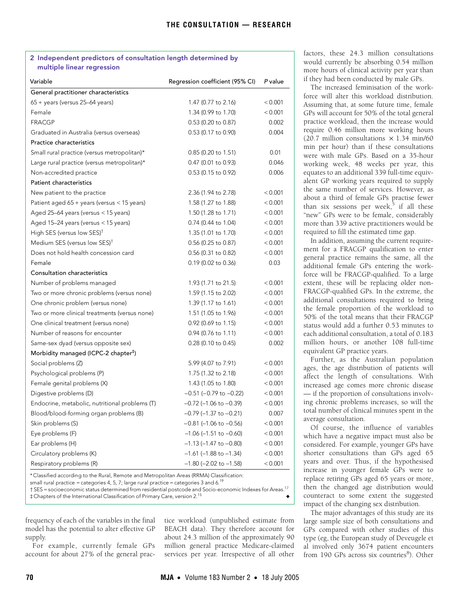# <span id="page-2-0"></span>**2 Independent predictors of consultation length determined by multiple linear regression**

| Variable                                                                                         | Regression coefficient (95% CI) | P value |
|--------------------------------------------------------------------------------------------------|---------------------------------|---------|
| General practitioner characteristics                                                             |                                 |         |
| $65 +$ years (versus 25–64 years)                                                                | 1.47 (0.77 to 2.16)             | < 0.001 |
| Female                                                                                           | 1.34 (0.99 to 1.70)             | < 0.001 |
| <b>FRACGP</b>                                                                                    | 0.53 (0.20 to 0.87)             | 0.002   |
| Graduated in Australia (versus overseas)                                                         | 0.53 (0.17 to 0.90)             | 0.004   |
| <b>Practice characteristics</b>                                                                  |                                 |         |
| Small rural practice (versus metropolitan)*                                                      | 0.85 (0.20 to 1.51)             | 0.01    |
| Large rural practice (versus metropolitan)*                                                      | 0.47 (0.01 to 0.93)             | 0.046   |
| Non-accredited practice                                                                          | 0.53 (0.15 to 0.92)             | 0.006   |
| <b>Patient characteristics</b>                                                                   |                                 |         |
| New patient to the practice                                                                      | 2.36 (1.94 to 2.78)             | < 0.001 |
| Patient aged 65 + years (versus < 15 years)                                                      | 1.58 (1.27 to 1.88)             | < 0.001 |
| Aged 25-64 years (versus < 15 years)                                                             | 1.50 (1.28 to 1.71)             | < 0.001 |
| Aged 15-24 years (versus < 15 years)                                                             | 0.74 (0.44 to 1.04)             | < 0.001 |
| High SES (versus low SES) <sup>†</sup>                                                           | 1.35 (1.01 to 1.70)             | < 0.001 |
| Medium SES (versus low SES) <sup>†</sup>                                                         | $0.56$ (0.25 to 0.87)           | < 0.001 |
| Does not hold health concession card                                                             | 0.56 (0.31 to 0.82)             | < 0.001 |
| Female                                                                                           | 0.19 (0.02 to 0.36)             | 0.03    |
| Consultation characteristics                                                                     |                                 |         |
| Number of problems managed                                                                       | 1.93 (1.71 to 21.5)             | < 0.001 |
| Two or more chronic problems (versus none)                                                       | 1.59 (1.15 to 2.02)             | < 0.001 |
| One chronic problem (versus none)                                                                | 1.39 (1.17 to 1.61)             | < 0.001 |
| Two or more clinical treatments (versus none)                                                    | 1.51 (1.05 to 1.96)             | < 0.001 |
| One clinical treatment (versus none)                                                             | 0.92 (0.69 to 1.15)             | < 0.001 |
| Number of reasons for encounter                                                                  | 0.94 (0.76 to 1.11)             | < 0.001 |
| Same-sex dyad (versus opposite sex)                                                              | $0.28$ (0.10 to 0.45)           | 0.002   |
| Morbidity managed (ICPC-2 chapter <sup>#</sup> )                                                 |                                 |         |
| Social problems (Z)                                                                              | 5.99 (4.07 to 7.91)             | < 0.001 |
| Psychological problems (P)                                                                       | 1.75 (1.32 to 2.18)             | < 0.001 |
| Female genital problems (X)                                                                      | 1.43 (1.05 to 1.80)             | < 0.001 |
| Digestive problems (D)                                                                           | $-0.51$ ( $-0.79$ to $-0.22$ )  | < 0.001 |
| Endocrine, metabolic, nutritional problems (T)                                                   | $-0.72$ (-1.06 to $-0.39$ )     | < 0.001 |
| Blood/blood-forming organ problems (B)                                                           | $-0.79$ ( $-1.37$ to $-0.21$ )  | 0.007   |
| Skin problems (S)                                                                                | $-0.81$ (-1.06 to $-0.56$ )     | < 0.001 |
| Eye problems (F)                                                                                 | $-1.06$ ( $-1.51$ to $-0.60$ )  | < 0.001 |
| Ear problems (H)                                                                                 | $-1.13$ ( $-1.47$ to $-0.80$ )  | < 0.001 |
| Circulatory problems (K)                                                                         | $-1.61$ ( $-1.88$ to $-1.34$ )  | < 0.001 |
| Respiratory problems (R)                                                                         | $-1.80$ ( $-2.02$ to $-1.58$ )  | < 0.001 |
| $Area \sim (DDMA) Classification$<br>* Clearified according to the Dural Demote and Metropolitan |                                 |         |

sitied according to the Rural, Remote and Metropolitan Areas (RRMA) Clas small rural practice = categories 4, 5, 7; large rural practice = categories 3 and 6.<sup>19</sup>

† SES = socioeconomic status determined from residential postcode and Socio-economic Indexes for Areas.17 ‡ Chapters of the International Classification of Primary Care, version 2.<sup>15</sup> ◆

frequency of each of the variables in the final model has the potential to alter effective GP supply.

For example, currently female GPs account for about 27% of the general practice workload (unpublished estimate from BEACH data). They therefore account for about 24.3 million of the approximately 90 million general practice Medicare-claimed services per year. Irrespective of all other

factors, these 24.3 million consultations would currently be absorbing 0.54 million more hours of clinical activity per year than if they had been conducted by male GPs.

The increased feminisation of the workforce will alter this workload distribution. Assuming that, at some future time, female GPs will account for 50% of the total general practice workload, then the increase would require 0.46 million more working hours (20.7 million consultations  $\times$  1.34 min/60 min per hour) than if these consultations were with male GPs. Based on a 35-hour working week, 48 weeks per year, this equates to an additional 339 full-time equivalent GP working years required to supply the same number of services. However, as about a third of female GPs practise fewer than six sessions per week, $\bar{5}$  $\bar{5}$  $\bar{5}$  if all these "new" GPs were to be female, considerably more than 339 active practitioners would be required to fill the estimated time gap.

In addition, assuming the current requirement for a FRACGP qualification to enter general practice remains the same, all the additional female GPs entering the workforce will be FRACGP-qualified. To a large extent, these will be replacing older non-FRACGP-qualified GPs. In the extreme, the additional consultations required to bring the female proportion of the workload to 50% of the total means that their FRACGP status would add a further 0.53 minutes to each additional consultation, a total of 0.183 million hours, or another 108 full-time equivalent GP practice years.

Further, as the Australian population ages, the age distribution of patients will affect the length of consultations. With increased age comes more chronic disease — if the proportion of consultations involving chronic problems increases, so will the total number of clinical minutes spent in the average consultation.

Of course, the influence of variables which have a negative impact must also be considered. For example, younger GPs have shorter consultations than GPs aged 65 years and over. Thus, if the hypothesised increase in younger female GPs were to replace retiring GPs aged 65 years or more, then the changed age distribution would counteract to some extent the suggested impact of the changing sex distribution.

The major advantages of this study are its large sample size of both consultations and GPs compared with other studies of this type (eg, the European study of Deveugele et al involved only 3674 patient encounters from 190 GPs across six countries<sup>[8](#page-3-7)</sup>). Other